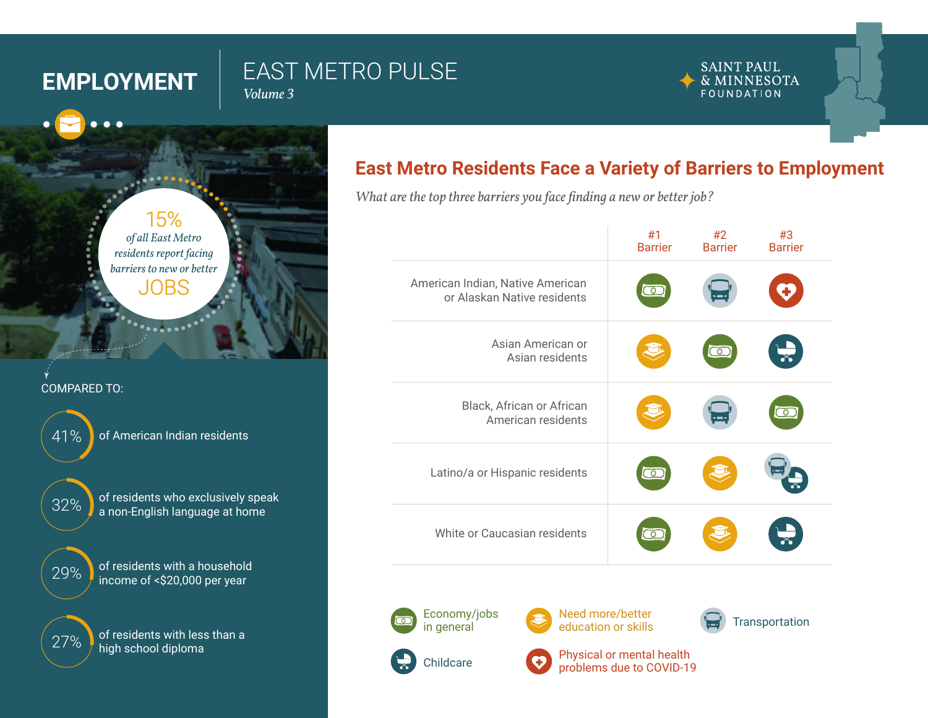. . .

# **EMPLOYMENT** EAST METRO PULSE

*Volume 3*

#### **SAINT PAUL** & MINNESOTA FOUNDATION



### COMPARED TO:

41% of American Indian residents



32% of residents who exclusively speak a non-English language at home



29% of residents with a household income of <\$20,000 per year

27% of residents with less than a high school diploma

# **East Metro Residents Face a Variety of Barriers to Employment**

*What are the top three barriers you face finding a new or better job?*

|                                                                 | #1<br><b>Barrier</b> | #2<br><b>Barrier</b> | #3<br><b>Barrier</b> |
|-----------------------------------------------------------------|----------------------|----------------------|----------------------|
| American Indian, Native American<br>or Alaskan Native residents | $\overline{\circ}$   |                      |                      |
| Asian American or<br>Asian residents                            |                      | $\overline{\circ}$   |                      |
| Black, African or African<br>American residents                 |                      |                      | তে                   |
| Latino/a or Hispanic residents                                  | ెం                   |                      |                      |
| White or Caucasian residents                                    | ా                    |                      |                      |
|                                                                 |                      |                      |                      |



Need more/better



Physical or mental health problems due to COVID-19